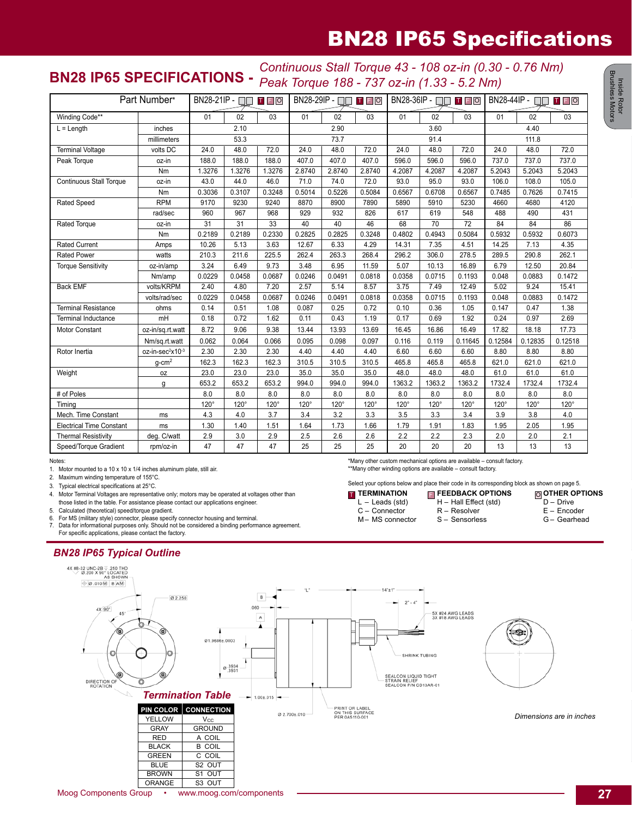## BN28 IP65 Specifications

## **BN28 IP65 SPECIFICATIONS -** *Continuous Stall Torque 43 - 108 oz-in (0.30 - 0.76 Nm) Peak Torque 188 - 737 oz-in (1.33 - 5.2 Nm)*

| Part Number*                                                                     |                              | BN28-21IP - □□<br>TFO |             |             | BN28-29IP - □□ □ □ □ □ |             |             | BN28-36IP - □<br><b>TFO</b> |             |                 | $BN28-44IP - \Box$<br>T F O |             |             |
|----------------------------------------------------------------------------------|------------------------------|-----------------------|-------------|-------------|------------------------|-------------|-------------|-----------------------------|-------------|-----------------|-----------------------------|-------------|-------------|
| Winding Code**                                                                   |                              | 01                    | 02          | 03          | 01                     | 02          | 03          | 01                          | 02          | 03              | 01                          | 02          | 03          |
| $L = Length$                                                                     | inches                       | 2.10                  |             | 2.90        |                        |             | 3.60        |                             |             | 4.40            |                             |             |             |
| millimeters                                                                      |                              | 53.3                  |             | 73.7        |                        |             | 91.4        |                             |             | 111.8           |                             |             |             |
| <b>Terminal Voltage</b>                                                          | volts DC                     | 24.0                  | 48.0        | 72.0        | 24.0                   | 48.0        | 72.0        | 24.0                        | 48.0        | 72.0            | 24.0                        | 48.0        | 72.0        |
| Peak Torque                                                                      | oz-in                        | 188.0                 | 188.0       | 188.0       | 407.0                  | 407.0       | 407.0       | 596.0                       | 596.0       | 596.0           | 737.0                       | 737.0       | 737.0       |
|                                                                                  | Nm                           | 1.3276                | 1.3276      | 1.3276      | 2.8740                 | 2.8740      | 2.8740      | 4.2087                      | 4.2087      | 4.2087          | 5.2043                      | 5.2043      | 5.2043      |
| <b>Continuous Stall Torque</b>                                                   | oz-in                        | 43.0                  | 44.0        | 46.0        | 71.0                   | 74.0        | 72.0        | 93.0                        | 95.0        | 93.0            | 106.0                       | 108.0       | 105.0       |
|                                                                                  | Nm                           | 0.3036                | 0.3107      | 0.3248      | 0.5014                 | 0.5226      | 0.5084      | 0.6567                      | 0.6708      | 0.6567          | 0.7485                      | 0.7626      | 0.7415      |
| <b>Rated Speed</b>                                                               | <b>RPM</b>                   | 9170                  | 9230        | 9240        | 8870                   | 8900        | 7890        | 5890                        | 5910        | 5230            | 4660                        | 4680        | 4120        |
|                                                                                  | rad/sec                      | 960                   | 967         | 968         | 929                    | 932         | 826         | 617                         | 619         | 548             | 488                         | 490         | 431         |
| Rated Torque                                                                     | oz-in                        | $\overline{31}$       | 31          | 33          | 40                     | 40          | 46          | 68                          | 70          | $\overline{72}$ | 84                          | 84          | 86          |
|                                                                                  | Nm                           | 0.2189                | 0.2189      | 0.2330      | 0.2825                 | 0.2825      | 0.3248      | 0.4802                      | 0.4943      | 0.5084          | 0.5932                      | 0.5932      | 0.6073      |
| <b>Rated Current</b>                                                             | Amps                         | 10.26                 | 5.13        | 3.63        | 12.67                  | 6.33        | 4.29        | 14.31                       | 7.35        | 4.51            | 14.25                       | 7.13        | 4.35        |
| <b>Rated Power</b>                                                               | watts                        | 210.3                 | 211.6       | 225.5       | 262.4                  | 263.3       | 268.4       | 296.2                       | 306.0       | 278.5           | 289.5                       | 290.8       | 262.1       |
| <b>Torque Sensitivity</b>                                                        | oz-in/amp                    | 3.24                  | 6.49        | 9.73        | 3.48                   | 6.95        | 11.59       | 5.07                        | 10.13       | 16.89           | 6.79                        | 12.50       | 20.84       |
|                                                                                  | Nm/amp                       | 0.0229                | 0.0458      | 0.0687      | 0.0246                 | 0.0491      | 0.0818      | 0.0358                      | 0.0715      | 0.1193          | 0.048                       | 0.0883      | 0.1472      |
| <b>Back EMF</b>                                                                  | volts/KRPM                   | 2.40                  | 4.80        | 7.20        | 2.57                   | 5.14        | 8.57        | 3.75                        | 7.49        | 12.49           | 5.02                        | 9.24        | 15.41       |
|                                                                                  | volts/rad/sec                | 0.0229                | 0.0458      | 0.0687      | 0.0246                 | 0.0491      | 0.0818      | 0.0358                      | 0.0715      | 0.1193          | 0.048                       | 0.0883      | 0.1472      |
| <b>Terminal Resistance</b>                                                       | ohms                         | 0.14                  | 0.51        | 1.08        | 0.087                  | 0.25        | 0.72        | 0.10                        | 0.36        | 1.05            | 0.147                       | 0.47        | 1.38        |
| <b>Terminal Inductance</b>                                                       | mH                           | 0.18                  | 0.72        | 1.62        | 0.11                   | 0.43        | 1.19        | 0.17                        | 0.69        | 1.92            | 0.24                        | 0.97        | 2.69        |
| Motor Constant                                                                   | oz-in/sq.rt.watt             | 8.72                  | 9.06        | 9.38        | 13.44                  | 13.93       | 13.69       | 16.45                       | 16.86       | 16.49           | 17.82                       | 18.18       | 17.73       |
|                                                                                  | Nm/sq.rt.watt                | 0.062                 | 0.064       | 0.066       | 0.095                  | 0.098       | 0.097       | 0.116                       | 0.119       | 0.11645         | 0.12584                     | 0.12835     | 0.12518     |
| Rotor Inertia                                                                    | oz-in-sec <sup>2</sup> x10-3 | 2.30                  | 2.30        | 2.30        | 4.40                   | 4.40        | 4.40        | 6.60                        | 6.60        | 6.60            | 8.80                        | 8.80        | 8.80        |
|                                                                                  | $q$ -cm <sup>2</sup>         | 162.3                 | 162.3       | 162.3       | 310.5                  | 310.5       | 310.5       | 465.8                       | 465.8       | 465.8           | 621.0                       | 621.0       | 621.0       |
| Weight                                                                           | 0Z                           | 23.0                  | 23.0        | 23.0        | 35.0                   | 35.0        | 35.0        | 48.0                        | 48.0        | 48.0            | 61.0                        | 61.0        | 61.0        |
|                                                                                  | q                            | 653.2                 | 653.2       | 653.2       | 994.0                  | 994.0       | 994.0       | 1363.2                      | 1363.2      | 1363.2          | 1732.4                      | 1732.4      | 1732.4      |
| # of Poles                                                                       |                              | 8.0                   | 8.0         | 8.0         | 8.0                    | 8.0         | 8.0         | 8.0                         | 8.0         | 8.0             | 8.0                         | 8.0         | 8.0         |
| Timina                                                                           |                              | $120^\circ$           | $120^\circ$ | $120^\circ$ | $120^\circ$            | $120^\circ$ | $120^\circ$ | $120^\circ$                 | $120^\circ$ | $120^\circ$     | $120^\circ$                 | $120^\circ$ | $120^\circ$ |
| Mech. Time Constant                                                              | ms                           | 4.3                   | 4.0         | 3.7         | 3.4                    | 3.2         | 3.3         | 3.5                         | 3.3         | 3.4             | 3.9                         | 3.8         | 4.0         |
| <b>Electrical Time Constant</b>                                                  | ms                           | 1.30                  | 1.40        | 1.51        | 1.64                   | 1.73        | 1.66        | 1.79                        | 1.91        | 1.83            | 1.95                        | 2.05        | 1.95        |
| <b>Thermal Resistivity</b>                                                       | deg. C/watt                  | 2.9                   | 3.0         | 2.9         | 2.5                    | 2.6         | 2.6         | 2.2                         | 2.2         | 2.3             | 2.0                         | 2.0         | 2.1         |
| Speed/Torque Gradient                                                            | rpm/oz-in                    | 47                    | 47          | 47          | 25                     | 25          | 25          | 20                          | 20          | 20              | 13                          | 13          | 13          |
| Notes:<br>*Many other custom mechanical options are available - consult factory. |                              |                       |             |             |                        |             |             |                             |             |                 |                             |             |             |

1. Motor mounted to a 10 x 10 x 1/4 inches aluminum plate, still air.

2. Maximum winding temperature of 155°C.<br>3. Typical electrical specifications at 25°C. Typical electrical specifications at 25°C.

4. Motor Terminal Voltages are representative only; motors may be operated at voltages other than those listed in the table. For assistance please contact our applications engineer.

5. Calculated (theoretical) speed/torque gradient.<br>6. For MS (military style) connector, please specif

6. For MS (military style) connector, please specify connector housing and terminal.<br>7. Data for informational purposes only. Should not be considered a binding perform Data for informational purposes only. Should not be considered a binding performance agreement. For specific applications, please contact the factory.

## *BN28 IP65 Typical Outline*



\*\*Many other winding options are available – consult factory.

**TERMINATION** L – Leads (std) C – Connector M– MS connector

Select your options below and place their code in its corresponding block as shown on page 5.

H – Hall Effect (std) R – Resolver S – Sensorless

**FEEDBACK OPTIONS** T F O

**OTHER OPTIONS** D – Drive E – Encoder G – Gearhead